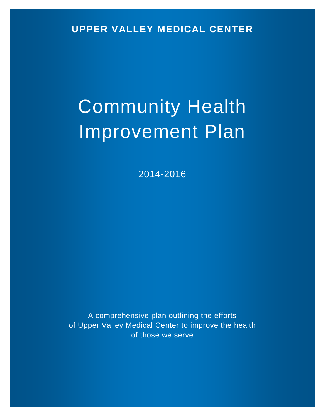**UPPER VALLEY MEDICAL CENTER**

# Community Health Improvement Plan

2014-2016

A comprehensive plan outlining the efforts of Upper Valley Medical Center to improve the health of those we serve.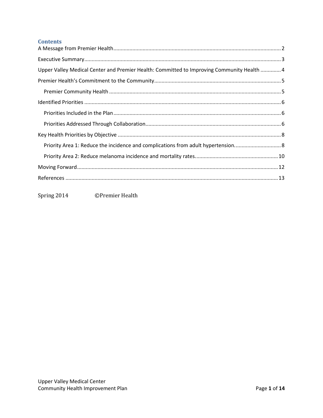# **Contents**

| Upper Valley Medical Center and Premier Health: Committed to Improving Community Health  4 |  |
|--------------------------------------------------------------------------------------------|--|
|                                                                                            |  |
|                                                                                            |  |
|                                                                                            |  |
|                                                                                            |  |
|                                                                                            |  |
|                                                                                            |  |
| Priority Area 1: Reduce the incidence and complications from adult hypertension 8          |  |
|                                                                                            |  |
|                                                                                            |  |
|                                                                                            |  |
|                                                                                            |  |

<span id="page-1-0"></span>Spring 2014 ©Premier Health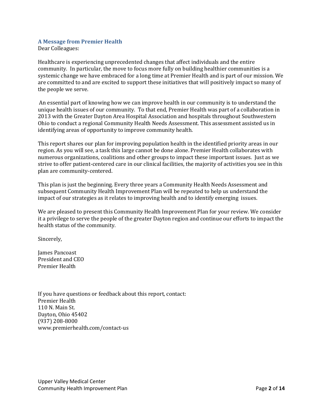## **A Message from Premier Health**

Dear Colleagues:

Healthcare is experiencing unprecedented changes that affect individuals and the entire community. In particular, the move to focus more fully on building healthier communities is a systemic change we have embraced for a long time at Premier Health and is part of our mission. We are committed to and are excited to support these initiatives that will positively impact so many of the people we serve.

An essential part of knowing how we can improve health in our community is to understand the unique health issues of our community. To that end, Premier Health was part of a collaboration in 2013 with the Greater Dayton Area Hospital Association and hospitals throughout Southwestern Ohio to conduct a regional Community Health Needs Assessment. This assessment assisted us in identifying areas of opportunity to improve community health.

This report shares our plan for improving population health in the identified priority areas in our region. As you will see, a task this large cannot be done alone. Premier Health collaborates with numerous organizations, coalitions and other groups to impact these important issues. Just as we strive to offer patient-centered care in our clinical facilities, the majority of activities you see in this plan are community-centered.

This plan is just the beginning. Every three years a Community Health Needs Assessment and subsequent Community Health Improvement Plan will be repeated to help us understand the impact of our strategies as it relates to improving health and to identify emerging issues.

We are pleased to present this Community Health Improvement Plan for your review. We consider it a privilege to serve the people of the greater Dayton region and continue our efforts to impact the health status of the community.

Sincerely,

James Pancoast President and CEO Premier Health

<span id="page-2-0"></span>If you have questions or feedback about this report, contact: Premier Health 110 N. Main St. Dayton, Ohio 45402 (937) 208-8000 www.premierhealth.com/contact-us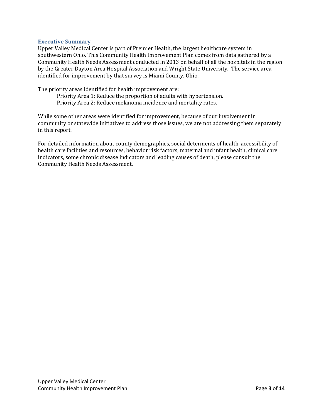#### **Executive Summary**

Upper Valley Medical Center is part of Premier Health, the largest healthcare system in southwestern Ohio. This Community Health Improvement Plan comes from data gathered by a Community Health Needs Assessment conducted in 2013 on behalf of all the hospitals in the region by the Greater Dayton Area Hospital Association and Wright State University. The service area identified for improvement by that survey is Miami County, Ohio.

The priority areas identified for health improvement are:

Priority Area 1: Reduce the proportion of adults with hypertension. Priority Area 2: Reduce melanoma incidence and mortality rates.

While some other areas were identified for improvement, because of our involvement in community or statewide initiatives to address those issues, we are not addressing them separately in this report.

<span id="page-3-0"></span>For detailed information about county demographics, social determents of health, accessibility of health care facilities and resources, behavior risk factors, maternal and infant health, clinical care indicators, some chronic disease indicators and leading causes of death, please consult the Community Health Needs Assessment.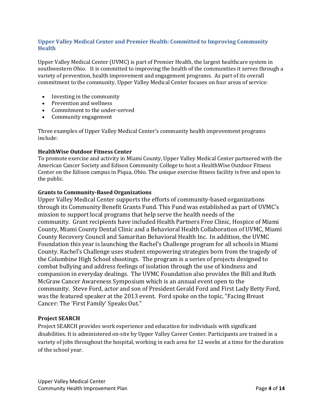# **Upper Valley Medical Center and Premier Health: Committed to Improving Community Health**

Upper Valley Medical Center (UVMC) is part of Premier Health, the largest healthcare system in southwestern Ohio. It is committed to improving the health of the communities it serves through a variety of prevention, health improvement and engagement programs. As part of its overall commitment to the community, Upper Valley Medical Center focuses on four areas of service:

- [Investing in the community](http://www.miamivalleyhospital.org/WorkArea/linkit.aspx?LinkIdentifier=id&ItemID=10924)
- [Prevention and wellness](http://www.miamivalleyhospital.org/WorkArea/linkit.aspx?LinkIdentifier=id&ItemID=10922)
- [Commitment to the under-served](http://www.miamivalleyhospital.org/WorkArea/linkit.aspx?LinkIdentifier=id&ItemID=10918)
- [Community engagement](http://www.miamivalleyhospital.org/WorkArea/linkit.aspx?LinkIdentifier=id&ItemID=10916)

Three examples of Upper Valley Medical Center's community health improvement programs include:

## **HealthWise Outdoor Fitness Center**

To promote exercise and activity in Miami County, Upper Valley Medical Center partnered with the American Cancer Society and Edison Community College to host a HealthWise Outdoor Fitness Center on the Edison campus in Piqua, Ohio. The unique exercise fitness facility is free and open to the public.

## **Grants to Community-Based Organizations**

Upper Valley Medical Center supports the efforts of community-based organizations through its Community Benefit Grants Fund. This Fund was established as part of UVMC's mission to support local programs that help serve the health needs of the community. Grant recipients have included Health Partners Free Clinic, Hospice of Miami County, Miami County Dental Clinic and a Behavioral Health Collaboration of UVMC, Miami County Recovery Council and Samaritan Behavioral Health Inc. In addition, the UVMC Foundation this year is launching the Rachel's Challenge program for all schools in Miami County. Rachel's Challenge uses student empowering strategies born from the tragedy of the Columbine High School shootings. The program is a series of projects designed to combat bullying and address feelings of isolation through the use of kindness and compassion in everyday dealings. The UVMC Foundation also provides the Bill and Ruth McGraw Cancer Awareness Symposium which is an annual event open to the community. Steve Ford, actor and son of President Gerald Ford and First Lady Betty Ford, was the featured speaker at the 2013 event. Ford spoke on the topic, "Facing Breast Cancer: The 'First Family' Speaks Out."

## **Project SEARCH**

<span id="page-4-0"></span>Project SEARCH provides work experience and education for individuals with significant disabilities. It is administered on-site by Upper Valley Career Center. Participants are trained in a variety of jobs throughout the hospital, working in each area for 12 weeks at a time for the duration of the school year.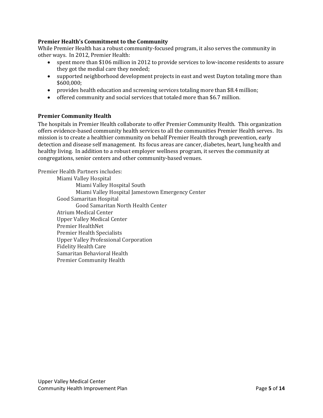# **Premier Health's Commitment to the Community**

While Premier Health has a robust community-focused program, it also serves the community in other ways. In 2012, Premier Health:

- spent more than \$106 million in 2012 to provide services to low-income residents to assure they got the medial care they needed;
- supported neighborhood development projects in east and west Dayton totaling more than \$600,000;
- provides health education and screening services totaling more than \$8.4 million;
- offered community and social services that totaled more than \$6.7 million.

## <span id="page-5-0"></span>**Premier Community Health**

The hospitals in Premier Health collaborate to offer Premier Community Health. This organization offers evidence-based community health services to all the communities Premier Health serves. Its mission is to create a healthier community on behalf Premier Health through prevention, early detection and disease self management. Its focus areas are cancer, diabetes, heart, lung health and healthy living. In addition to a robust employer wellness program, it serves the community at congregations, senior centers and other community-based venues.

Premier Health Partners includes:

<span id="page-5-1"></span>Miami Valley Hospital Miami Valley Hospital South Miami Valley Hospital Jamestown Emergency Center Good Samaritan Hospital Good Samaritan North Health Center Atrium Medical Center Upper Valley Medical Center Premier HealthNet Premier Health Specialists Upper Valley Professional Corporation Fidelity Health Care Samaritan Behavioral Health Premier Community Health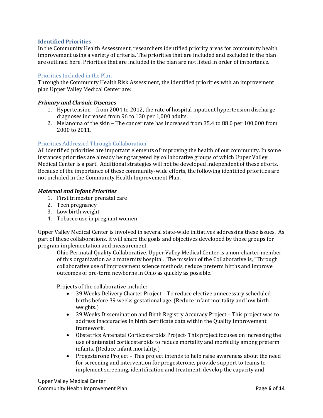## **Identified Priorities**

In the Community Health Assessment, researchers identified priority areas for community health improvement using a variety of criteria. The priorities that are included and excluded in the plan are outlined here. Priorities that are included in the plan are not listed in order of importance.

## <span id="page-6-0"></span>Priorities Included in the Plan

Through the Community Health Risk Assessment, the identified priorities with an improvement plan Upper Valley Medical Center are:

#### *Primary and Chronic Diseases*

- 1. Hypertension from 2004 to 2012, the rate of hospital inpatient hypertension discharge diagnoses increased from 96 to 130 per 1,000 adults.
- 2. Melanoma of the skin The cancer rate has increased from 35.4 to 88.0 per 100,000 from 2000 to 2011.

# <span id="page-6-1"></span>Priorities Addressed Through Collaboration

All identified priorities are important elements of improving the health of our community. In some instances priorities are already being targeted by collaborative groups of which Upper Valley Medical Center is a part. Additional strategies will not be developed independent of these efforts. Because of the importance of these community-wide efforts, the following identified priorities are not included in the Community Health Improvement Plan.

## *Maternal and Infant Priorities*

- 1. First trimester prenatal care
- 2. Teen pregnancy
- 3. Low birth weight
- 4. Tobacco use in pregnant women

Upper Valley Medical Center is involved in several state-wide initiatives addressing these issues. As part of these collaborations, it will share the goals and objectives developed by those groups for program implementation and measurement.

Ohio Perinatal Quality Collaborative. Upper Valley Medical Center is a non-charter member of this organization as a maternity hospital. The mission of the Collaborative is, "Through collaborative use of improvement science methods, reduce preterm births and improve outcomes of pre-term newborns in Ohio as quickly as possible."

Projects of the collaborative include:

- 39 Weeks Delivery Charter Project To reduce elective unnecessary scheduled births before 39 weeks gestational age. (Reduce infant mortality and low birth weights.)
- 39 Weeks Dissemination and Birth Registry Accuracy Project This project was to address inaccuracies in birth certificate data within the Quality Improvement framework.
- Obstetrics Antenatal Corticosteroids Project- This project focuses on increasing the use of antenatal corticosteroids to reduce mortality and morbidity among preterm infants. (Reduce infant mortality.)
- Progesterone Project This project intends to help raise awareness about the need for screening and intervention for progesterone, provide support to teams to implement screening, identification and treatment, develop the capacity and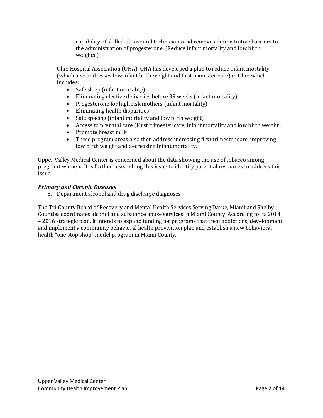capability of skilled ultrasound technicians and remove administrative barriers to the administration of progesterone. (Reduce infant mortality and low birth weights.)

Ohio Hospital Association (OHA). OHA has developed a plan to reduce infant mortality (which also addresses low infant birth weight and first trimester care) in Ohio which includes:

- Safe sleep (infant mortality)
- Eliminating elective deliveries before 39 weeks (infant mortality)<br>• Progesterone for high risk mothers (infant mortality)
- Progesterone for high risk mothers (infant mortality)
- Eliminating health disparities
- Safe spacing (infant mortality and low birth weight)<br>• Access to prenatal care (First trimester care, infant n
- Access to prenatal care (First trimester care, infant mortality and low birth weight)
- Promote breast milk<br>• These program areas
- These program areas also then address increasing first trimester care, improving low birth weight and decreasing infant mortality.

Upper Valley Medical Center is concerned about the data showing the use of tobacco among pregnant women. It is further researching this issue to identify potential resources to address this issue.

# *Primary and Chronic Diseases*

5. Department alcohol and drug discharge diagnoses

<span id="page-7-0"></span>The Tri-County Board of Recovery and Mental Health Services Serving Darke, Miami and Shelby Counties coordinates alcohol and substance abuse services in Miami County. According to its 2014 – 2016 strategic plan, it intends to expand funding for programs that treat addictions, development and implement a community behavioral health prevention plan and establish a new behavioral health "one stop shop" model program in Miami County.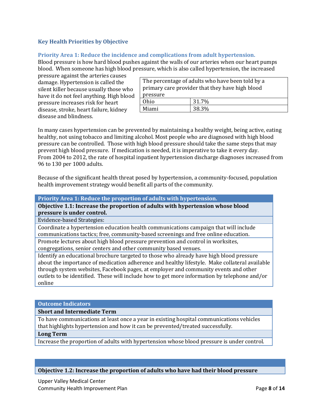# **Key Health Priorities by Objective**

## <span id="page-8-0"></span>**Priority Area 1: Reduce the incidence and complications from adult hypertension.**

Blood pressure is how hard blood pushes against the walls of our arteries when our heart pumps blood. When someone has high blood pressure, which is also called hypertension, the increased

pressure against the arteries causes damage. Hypertension is called the silent killer because usually those who have it do not feel anything. High blood pressure increases risk for heart disease, stroke, heart failure, kidney disease and blindness.

| The percentage of adults who have been told by a<br>primary care provider that they have high blood |       |  |
|-----------------------------------------------------------------------------------------------------|-------|--|
| pressure                                                                                            |       |  |
| Ohio                                                                                                | 31.7% |  |
| Miami                                                                                               | 38.3% |  |

In many cases hypertension can be prevented by maintaining a healthy weight, being active, eating healthy, not using tobacco and limiting alcohol. Most people who are diagnosed with high blood pressure can be controlled. Those with high blood pressure should take the same steps that may prevent high blood pressure. If medication is needed, it is imperative to take it every day. From 2004 to 2012, the rate of hospital inpatient hypertension discharge diagnoses increased from 96 to 130 per 1000 adults.

Because of the significant health threat posed by hypertension, a community-focused, population health improvement strategy would benefit all parts of the community.

**Priority Area 1: Reduce the proportion of adults with hypertension.** 

**Objective 1.1: Increase the proportion of adults with hypertension whose blood pressure is under control.**

Evidence-based Strategies:

Coordinate a hypertension education health communications campaign that will include communications tactics; free, community-based screenings and free online education.

Promote lectures about high blood pressure prevention and control in worksites,

congregations, senior centers and other community based venues.

Identify an educational brochure targeted to those who already have high blood pressure about the importance of medication adherence and healthy lifestyle. Make collateral available through system websites, Facebook pages, at employer and community events and other outlets to be identified. These will include how to get more information by telephone and/or online

#### **Outcome Indicators**

**Short and Intermediate Term**

To have communications at least once a year in existing hospital communications vehicles that highlights hypertension and how it can be prevented/treated successfully.

#### **Long Term**

Increase the proportion of adults with hypertension whose blood pressure is under control.

## **Objective 1.2: Increase the proportion of adults who have had their blood pressure**

Upper Valley Medical Center Community Health Improvement Plan Page **8** of **14**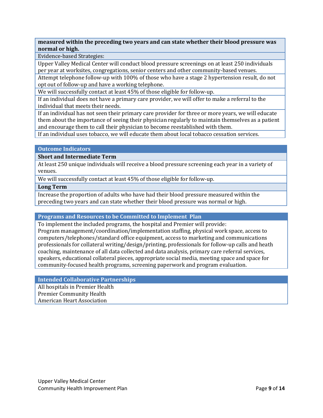**measured within the preceding two years and can state whether their blood pressure was normal or high.**

Evidence-based Strategies:

Upper Valley Medical Center will conduct blood pressure screenings on at least 250 individuals per year at worksites, congregations, senior centers and other community-based venues.

Attempt telephone follow-up with 100% of those who have a stage 2 hypertension result, do not opt out of follow-up and have a working telephone.

We will successfully contact at least 45% of those eligible for follow-up.

If an individual does not have a primary care provider, we will offer to make a referral to the individual that meets their needs.

If an individual has not seen their primary care provider for three or more years, we will educate them about the importance of seeing their physician regularly to maintain themselves as a patient and encourage them to call their physician to become reestablished with them.

If an individual uses tobacco, we will educate them about local tobacco cessation services.

#### **Outcome Indicators**

#### **Short and Intermediate Term**

At least 250 unique individuals will receive a blood pressure screening each year in a variety of venues.

We will successfully contact at least 45% of those eligible for follow-up.

#### **Long Term**

Increase the proportion of adults who have had their blood pressure measured within the preceding two years and can state whether their blood pressure was normal or high.

#### **Programs and Resources to be Committed to Implement Plan**

To implement the included programs, the hospital and Premier will provide: Program management/coordination/implementation staffing, physical work space, access to computers/telephones/standard office equipment, access to marketing and communications professionals for collateral writing/design/printing, professionals for follow-up calls and heath coaching, maintenance of all data collected and data analysis, primary care referral services, speakers, educational collateral pieces, appropriate social media, meeting space and space for community-focused health programs, screening paperwork and program evaluation.

## **Intended Collaborative Partnerships**

All hospitals in Premier Health Premier Community Health

American Heart Association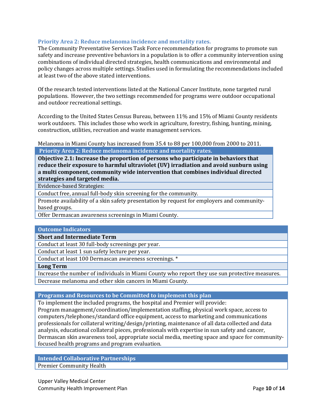# <span id="page-10-0"></span>**Priority Area 2: Reduce melanoma incidence and mortality rates.**

The Community Preventative Services Task Force recommendation for programs to promote sun safety and increase preventive behaviors in a population is to offer a community intervention using combinations of individual directed strategies, health communications and environmental and policy changes across multiple settings. Studies used in formulating the recommendations included at least two of the above stated interventions.

Of the research tested interventions listed at the National Cancer Institute, none targeted rural populations. However, the two settings recommended for programs were outdoor occupational and outdoor recreational settings.

According to the United States Census Bureau, between 11% and 15% of Miami County residents work outdoors. This includes those who work in agriculture, forestry, fishing, hunting, mining, construction, utilities, recreation and waste management services.

Melanoma in Miami County has increased from 35.4 to 88 per 100,000 from 2000 to 2011. **Priority Area 2: Reduce melanoma incidence and mortality rates.**

**Objective 2.1: Increase the proportion of persons who participate in behaviors that reduce their exposure to harmful ultraviolet (UV) irradiation and avoid sunburn using a multi component, community wide intervention that combines individual directed strategies and targeted media.**

Evidence-based Strategies:

Conduct free, annual full-body skin screening for the community.

Promote availability of a skin safety presentation by request for employers and communitybased groups.

Offer Dermascan awareness screenings in Miami County.

#### **Outcome Indicators**

**Short and Intermediate Term**

Conduct at least 30 full-body screenings per year.

Conduct at least 1 sun safety lecture per year.

Conduct at least 100 Dermascan awareness screenings. \*

**Long Term**

Increase the number of individuals in Miami County who report they use sun protective measures. Decrease melanoma and other skin cancers in Miami County.

#### **Programs and Resources to be Committed to implement this plan**

To implement the included programs, the hospital and Premier will provide: Program management/coordination/implementation staffing, physical work space, access to computers/telephones/standard office equipment, access to marketing and communications professionals for collateral writing/design/printing, maintenance of all data collected and data analysis, educational collateral pieces, professionals with expertise in sun safety and cancer, Dermascan skin awareness tool, appropriate social media, meeting space and space for communityfocused health programs and program evaluation.

**Intended Collaborative Partnerships** Premier Community Health

Upper Valley Medical Center **Community Health Improvement Plan Page 10 of 14** and **Page 10** of 14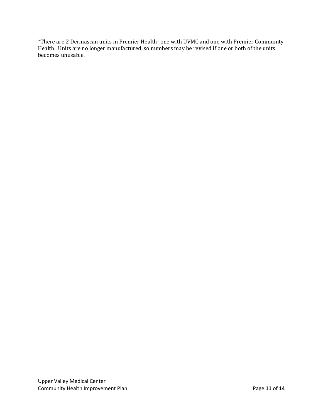<span id="page-11-0"></span>\*There are 2 Dermascan units in Premier Health- one with UVMC and one with Premier Community Health. Units are no longer manufactured, so numbers may be revised if one or both of the units becomes unusable.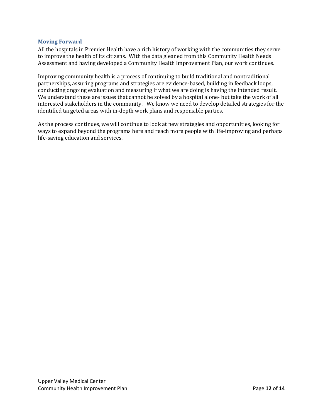## **Moving Forward**

All the hospitals in Premier Health have a rich history of working with the communities they serve to improve the health of its citizens. With the data gleaned from this Community Health Needs Assessment and having developed a Community Health Improvement Plan, our work continues.

Improving community health is a process of continuing to build traditional and nontraditional partnerships, assuring programs and strategies are evidence-based, building in feedback loops, conducting ongoing evaluation and measuring if what we are doing is having the intended result. We understand these are issues that cannot be solved by a hospital alone- but take the work of all interested stakeholders in the community. We know we need to develop detailed strategies for the identified targeted areas with in-depth work plans and responsible parties.

<span id="page-12-0"></span>As the process continues, we will continue to look at new strategies and opportunities, looking for ways to expand beyond the programs here and reach more people with life-improving and perhaps life-saving education and services.